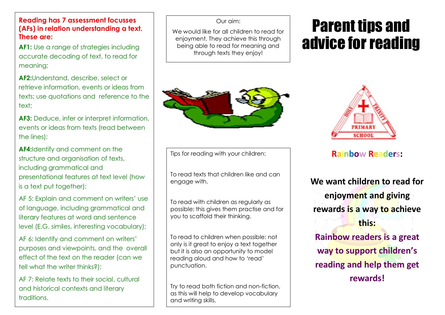**Reading has 7 assessment focusses (AFs) in relation understanding a text. These are:**

**AF1:** Use a range of strategies including accurate decoding of text, to read for meaning;

**AF2:**Understand, describe, select or retrieve information, events or ideas from texts; use quotations and reference to the text;

**AF3:** Deduce, infer or interpret information, events or ideas from texts (read between the lines);

**AF4:**Identify and comment on the structure and organisation of texts, including grammatical and presentational features at text level (how is a text put together);

AF 5: Explain and comment on writers' use of language, including grammatical and literary features at word and sentence level (E.G. similes, interesting vocabulary);

AF 6: Identify and comment on writers' purposes and viewpoints, and the overall effect of the text on the reader (can we tell what the writer thinks?);

AF 7: Relate texts to their social, cultural and historical contexts and literary traditions.

### Our aim:

We would like for all children to read for enjoyment. They achieve this through being able to read for meaning and through texts they enjoy!



Tips for reading with your children:

To read texts that children like and can engage with.

To read with children as regularly as possible; this gives them practise and for you to scaffold their thinking.

To read to children when possible: not only is it great to enjoy a text together but it is also an opportunity to model reading aloud and how to 'read' punctuation.

Try to read both fiction and non-fiction, as this will help to develop vocabulary and writing skills.

# Parent tips and advice for reading



## **Rainbow Readers:**

**We want children to read for enjoyment and giving rewards is a way to achieve this: Rainbow readers is a great way to support children's reading and help them get rewards!**